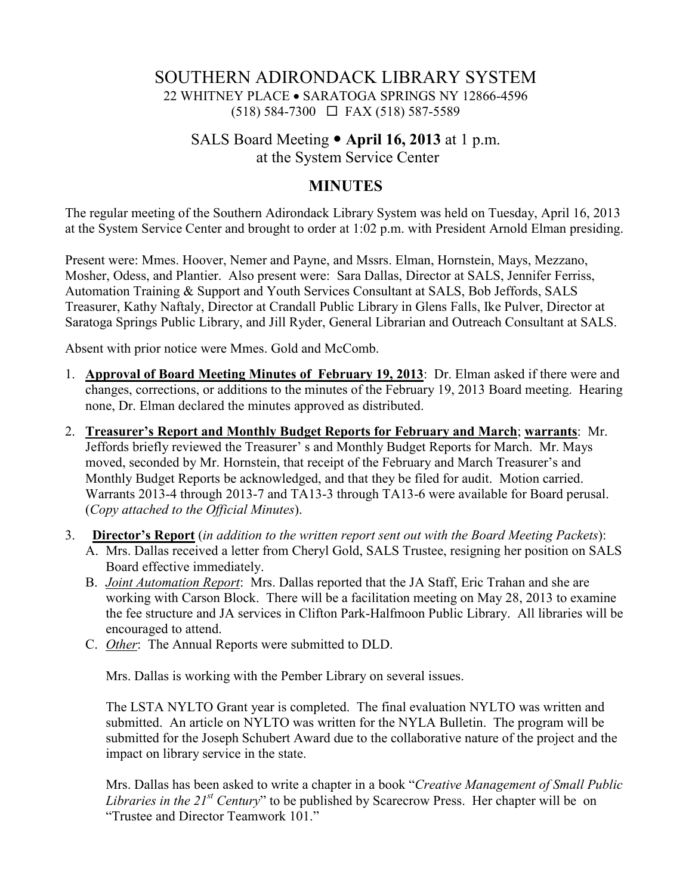# SOUTHERN ADIRONDACK LIBRARY SYSTEM 22 WHITNEY PLACE • SARATOGA SPRINGS NY 12866-4596 (518) 584-7300 FAX (518) 587-5589

## SALS Board Meeting **April 16, 2013** at 1 p.m. at the System Service Center

### **MINUTES**

The regular meeting of the Southern Adirondack Library System was held on Tuesday, April 16, 2013 at the System Service Center and brought to order at 1:02 p.m. with President Arnold Elman presiding.

Present were: Mmes. Hoover, Nemer and Payne, and Mssrs. Elman, Hornstein, Mays, Mezzano, Mosher, Odess, and Plantier. Also present were: Sara Dallas, Director at SALS, Jennifer Ferriss, Automation Training & Support and Youth Services Consultant at SALS, Bob Jeffords, SALS Treasurer, Kathy Naftaly, Director at Crandall Public Library in Glens Falls, Ike Pulver, Director at Saratoga Springs Public Library, and Jill Ryder, General Librarian and Outreach Consultant at SALS.

Absent with prior notice were Mmes. Gold and McComb.

- 1. **Approval of Board Meeting Minutes of February 19, 2013**: Dr. Elman asked if there were and changes, corrections, or additions to the minutes of the February 19, 2013 Board meeting. Hearing none, Dr. Elman declared the minutes approved as distributed.
- 2. **Treasurer's Report and Monthly Budget Reports for February and March**; **warrants**: Mr. Jeffords briefly reviewed the Treasurer' s and Monthly Budget Reports for March. Mr. Mays moved, seconded by Mr. Hornstein, that receipt of the February and March Treasurer's and Monthly Budget Reports be acknowledged, and that they be filed for audit. Motion carried. Warrants 2013-4 through 2013-7 and TA13-3 through TA13-6 were available for Board perusal. (*Copy attached to the Official Minutes*).
- 3. **Director's Report** (*in addition to the written report sent out with the Board Meeting Packets*): A. Mrs. Dallas received a letter from Cheryl Gold, SALS Trustee, resigning her position on SALS Board effective immediately.
	- B. *Joint Automation Report*: Mrs. Dallas reported that the JA Staff, Eric Trahan and she are working with Carson Block. There will be a facilitation meeting on May 28, 2013 to examine the fee structure and JA services in Clifton Park-Halfmoon Public Library. All libraries will be encouraged to attend.
	- C. *Other*: The Annual Reports were submitted to DLD.

Mrs. Dallas is working with the Pember Library on several issues.

The LSTA NYLTO Grant year is completed. The final evaluation NYLTO was written and submitted. An article on NYLTO was written for the NYLA Bulletin. The program will be submitted for the Joseph Schubert Award due to the collaborative nature of the project and the impact on library service in the state.

Mrs. Dallas has been asked to write a chapter in a book "*Creative Management of Small Public Libraries in the 21st Century*" to be published by Scarecrow Press. Her chapter will be on "Trustee and Director Teamwork 101."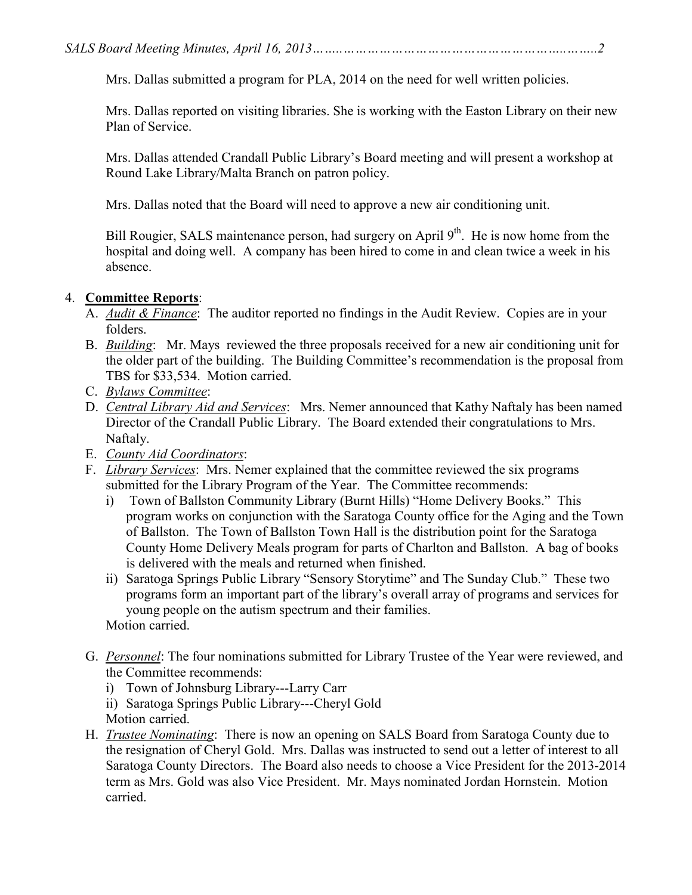Mrs. Dallas submitted a program for PLA, 2014 on the need for well written policies.

Mrs. Dallas reported on visiting libraries. She is working with the Easton Library on their new Plan of Service.

Mrs. Dallas attended Crandall Public Library's Board meeting and will present a workshop at Round Lake Library/Malta Branch on patron policy.

Mrs. Dallas noted that the Board will need to approve a new air conditioning unit.

Bill Rougier, SALS maintenance person, had surgery on April  $9<sup>th</sup>$ . He is now home from the hospital and doing well. A company has been hired to come in and clean twice a week in his absence.

#### 4. **Committee Reports**:

- A. *Audit & Finance*: The auditor reported no findings in the Audit Review. Copies are in your folders.
- B. *Building*: Mr. Mays reviewed the three proposals received for a new air conditioning unit for the older part of the building. The Building Committee's recommendation is the proposal from TBS for \$33,534. Motion carried.
- C. *Bylaws Committee*:
- D. *Central Library Aid and Services*: Mrs. Nemer announced that Kathy Naftaly has been named Director of the Crandall Public Library. The Board extended their congratulations to Mrs. Naftaly.
- E. *County Aid Coordinators*:
- F. *Library Services*: Mrs. Nemer explained that the committee reviewed the six programs submitted for the Library Program of the Year. The Committee recommends:
	- i) Town of Ballston Community Library (Burnt Hills) "Home Delivery Books." This program works on conjunction with the Saratoga County office for the Aging and the Town of Ballston. The Town of Ballston Town Hall is the distribution point for the Saratoga County Home Delivery Meals program for parts of Charlton and Ballston. A bag of books is delivered with the meals and returned when finished.
	- ii) Saratoga Springs Public Library "Sensory Storytime" and The Sunday Club." These two programs form an important part of the library's overall array of programs and services for young people on the autism spectrum and their families. Motion carried.
	-
- G. *Personnel*: The four nominations submitted for Library Trustee of the Year were reviewed, and the Committee recommends:
	- i) Town of Johnsburg Library---Larry Carr
	- ii) Saratoga Springs Public Library---Cheryl Gold Motion carried.
- H. *Trustee Nominating*: There is now an opening on SALS Board from Saratoga County due to the resignation of Cheryl Gold. Mrs. Dallas was instructed to send out a letter of interest to all Saratoga County Directors. The Board also needs to choose a Vice President for the 2013-2014 term as Mrs. Gold was also Vice President. Mr. Mays nominated Jordan Hornstein. Motion carried.